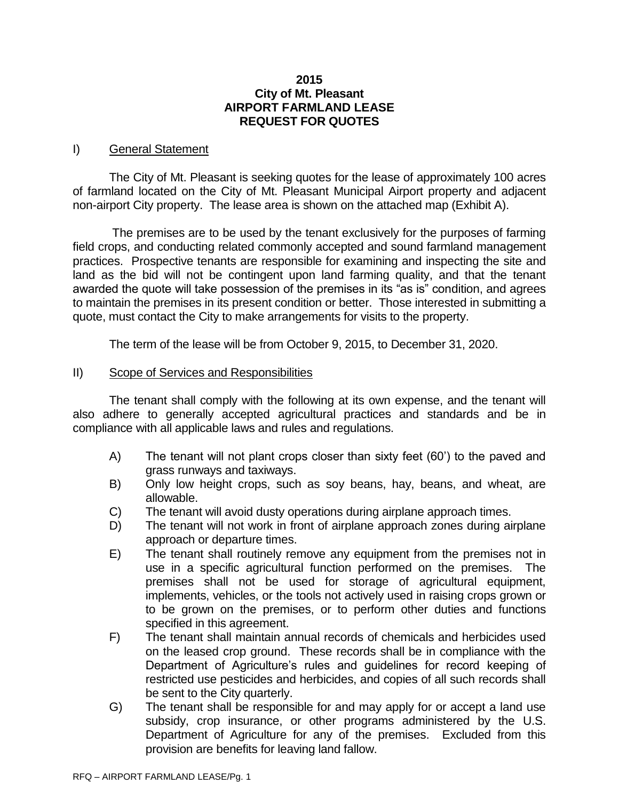## **2015 City of Mt. Pleasant AIRPORT FARMLAND LEASE REQUEST FOR QUOTES**

## I) General Statement

The City of Mt. Pleasant is seeking quotes for the lease of approximately 100 acres of farmland located on the City of Mt. Pleasant Municipal Airport property and adjacent non-airport City property. The lease area is shown on the attached map (Exhibit A).

The premises are to be used by the tenant exclusively for the purposes of farming field crops, and conducting related commonly accepted and sound farmland management practices. Prospective tenants are responsible for examining and inspecting the site and land as the bid will not be contingent upon land farming quality, and that the tenant awarded the quote will take possession of the premises in its "as is" condition, and agrees to maintain the premises in its present condition or better. Those interested in submitting a quote, must contact the City to make arrangements for visits to the property.

The term of the lease will be from October 9, 2015, to December 31, 2020.

## II) Scope of Services and Responsibilities

The tenant shall comply with the following at its own expense, and the tenant will also adhere to generally accepted agricultural practices and standards and be in compliance with all applicable laws and rules and regulations.

- A) The tenant will not plant crops closer than sixty feet (60') to the paved and grass runways and taxiways.
- B) Only low height crops, such as soy beans, hay, beans, and wheat, are allowable.
- C) The tenant will avoid dusty operations during airplane approach times.
- D) The tenant will not work in front of airplane approach zones during airplane approach or departure times.
- E) The tenant shall routinely remove any equipment from the premises not in use in a specific agricultural function performed on the premises. The premises shall not be used for storage of agricultural equipment, implements, vehicles, or the tools not actively used in raising crops grown or to be grown on the premises, or to perform other duties and functions specified in this agreement.
- F) The tenant shall maintain annual records of chemicals and herbicides used on the leased crop ground. These records shall be in compliance with the Department of Agriculture's rules and guidelines for record keeping of restricted use pesticides and herbicides, and copies of all such records shall be sent to the City quarterly.
- G) The tenant shall be responsible for and may apply for or accept a land use subsidy, crop insurance, or other programs administered by the U.S. Department of Agriculture for any of the premises. Excluded from this provision are benefits for leaving land fallow.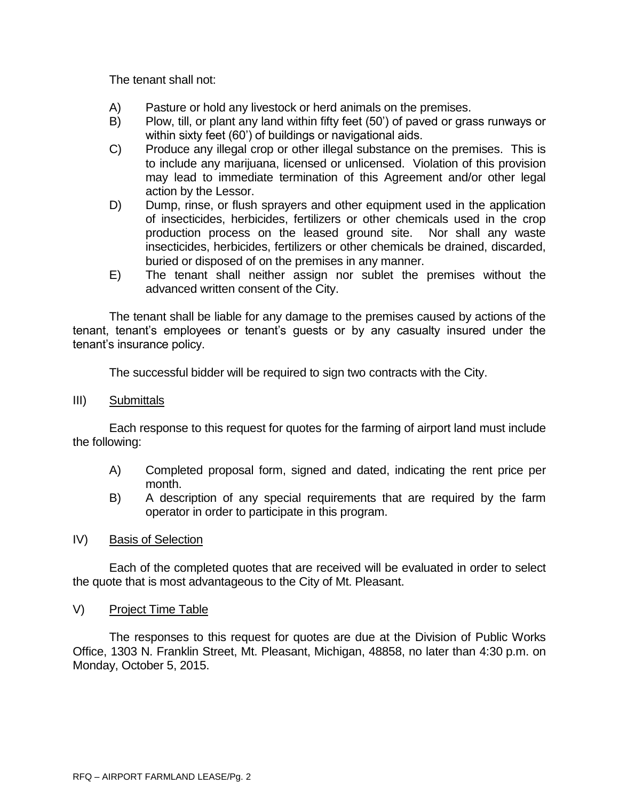The tenant shall not:

- A) Pasture or hold any livestock or herd animals on the premises.
- B) Plow, till, or plant any land within fifty feet (50') of paved or grass runways or within sixty feet (60') of buildings or navigational aids.
- C) Produce any illegal crop or other illegal substance on the premises. This is to include any marijuana, licensed or unlicensed. Violation of this provision may lead to immediate termination of this Agreement and/or other legal action by the Lessor.
- D) Dump, rinse, or flush sprayers and other equipment used in the application of insecticides, herbicides, fertilizers or other chemicals used in the crop production process on the leased ground site. Nor shall any waste insecticides, herbicides, fertilizers or other chemicals be drained, discarded, buried or disposed of on the premises in any manner.
- E) The tenant shall neither assign nor sublet the premises without the advanced written consent of the City.

The tenant shall be liable for any damage to the premises caused by actions of the tenant, tenant's employees or tenant's guests or by any casualty insured under the tenant's insurance policy.

The successful bidder will be required to sign two contracts with the City.

III) Submittals

Each response to this request for quotes for the farming of airport land must include the following:

- A) Completed proposal form, signed and dated, indicating the rent price per month.
- B) A description of any special requirements that are required by the farm operator in order to participate in this program.
- IV) Basis of Selection

Each of the completed quotes that are received will be evaluated in order to select the quote that is most advantageous to the City of Mt. Pleasant.

V) Project Time Table

The responses to this request for quotes are due at the Division of Public Works Office, 1303 N. Franklin Street, Mt. Pleasant, Michigan, 48858, no later than 4:30 p.m. on Monday, October 5, 2015.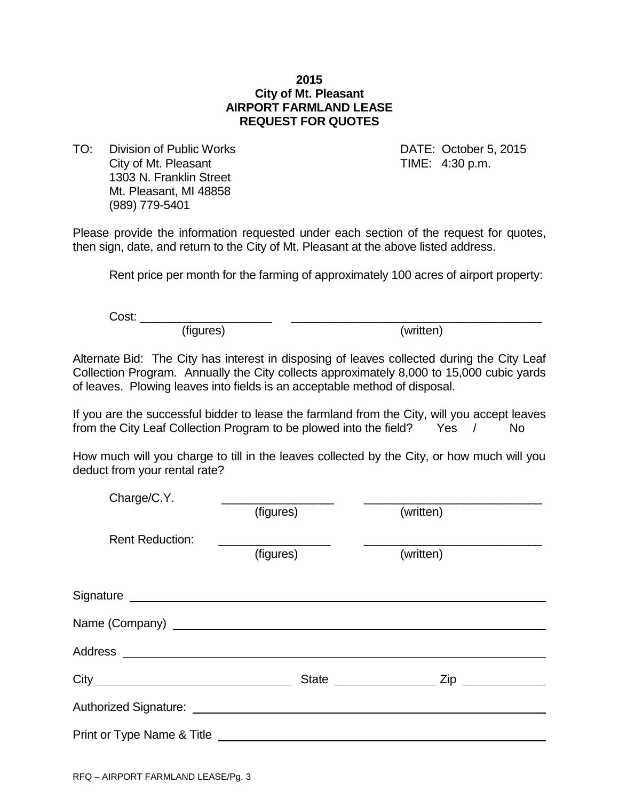## **2015 City of Mt. Pleasant AIRPORT FARMLAND LEASE REQUEST FOR QUOTES**

TO: Division of Public Works DATE: October 5, 2015 City of Mt. Pleasant City of Mt. Pleasant City of Mt. Pleasant 1303 N. Franklin Street Mt. Pleasant, MI 48858 (989) 779-5401

Please provide the information requested under each section of the request for quotes, then sign, date, and return to the City of Mt. Pleasant at the above listed address.

Rent price per month for the farming of approximately 100 acres of airport property:

Cost: \_\_\_\_\_\_\_\_\_\_\_\_\_\_\_\_\_\_\_\_ \_\_\_\_\_\_\_\_\_\_\_\_\_\_\_\_\_\_\_\_\_\_\_\_\_\_\_\_\_\_\_\_\_\_\_\_\_\_

(figures) (written)

Alternate Bid: The City has interest in disposing of leaves collected during the City Leaf Collection Program. Annually the City collects approximately 8,000 to 15,000 cubic yards of leaves. Plowing leaves into fields is an acceptable method of disposal.

If you are the successful bidder to lease the farmland from the City, will you accept leaves from the City Leaf Collection Program to be plowed into the field? Yes / No

How much will you charge to till in the leaves collected by the City, or how much will you deduct from your rental rate?

| Charge/C.Y.                                                                                                          |           |           |  |
|----------------------------------------------------------------------------------------------------------------------|-----------|-----------|--|
|                                                                                                                      | (figures) | (written) |  |
| <b>Rent Reduction:</b>                                                                                               |           |           |  |
|                                                                                                                      | (figures) | (written) |  |
|                                                                                                                      |           |           |  |
|                                                                                                                      |           |           |  |
|                                                                                                                      |           |           |  |
|                                                                                                                      |           |           |  |
|                                                                                                                      |           |           |  |
| Authorized Signature: Letter Authorized Signature: Authorized Signature: Authorized Signature: Authorized Signature: |           |           |  |
|                                                                                                                      |           |           |  |
|                                                                                                                      |           |           |  |